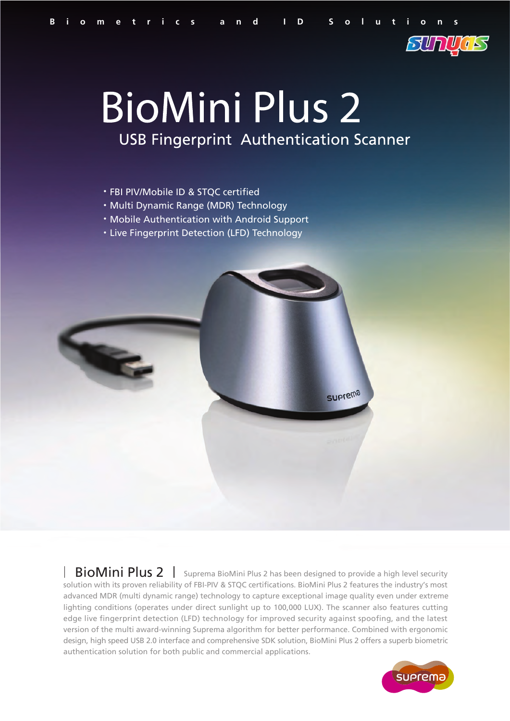

## **BioMini Plus 2 USB Fingerprint Authentication Scanner**

- FBI PIV/Mobile ID & STQC certified
- Multi Dynamic Range (MDR) Technology
- Mobile Authentication with Android Support
- Live Fingerprint Detection (LFD) Technology



| BioMini Plus 2 | Suprema BioMini Plus 2 has been designed to provide a high level security solution with its proven reliability of FBI-PIV & STQC certifications. BioMini Plus 2 features the industry's most advanced MDR (multi dynamic range) technology to capture exceptional image quality even under extreme lighting conditions (operates under direct sunlight up to 100,000 LUX). The scanner also features cutting edge live fingerprint detection (LFD) technology for improved security against spoofing, and the latest version of the multi award-winning Suprema algorithm for better performance. Combined with ergonomic design, high speed USB 2.0 interface and comprehensive SDK solution, BioMini Plus 2 offers a superb biometric authentication solution for both public and commercial applications.